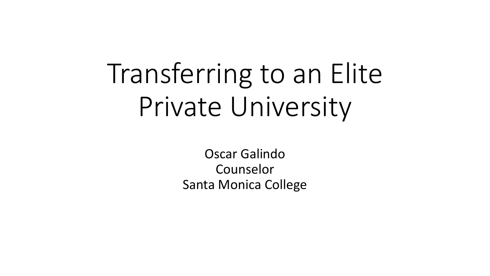# Transferring to an Elite Private University

Oscar Galindo Counselor Santa Monica College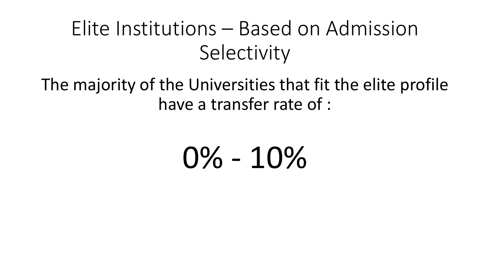#### The majority of the Universities that fit the elite profile have a transfer rate of :

# 0% - 10%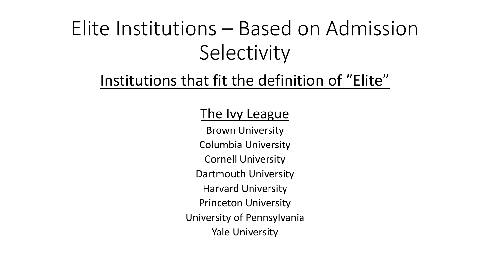#### Institutions that fit the definition of "Elite"

#### The Ivy League

Brown University Columbia University Cornell University Dartmouth University Harvard University Princeton University University of Pennsylvania Yale University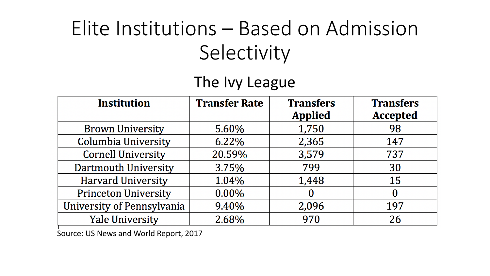#### The Ivy League

| <b>Institution</b>          | <b>Transfer Rate</b> | <b>Transfers</b> | <b>Transfers</b> |
|-----------------------------|----------------------|------------------|------------------|
|                             |                      | <b>Applied</b>   | <b>Accepted</b>  |
| <b>Brown University</b>     | 5.60%                | 1,750            | 98               |
| Columbia University         | 6.22%                | 2,365            | 147              |
| <b>Cornell University</b>   | 20.59%               | 3,579            | 737              |
| <b>Dartmouth University</b> | 3.75%                | 799              | 30               |
| <b>Harvard University</b>   | 1.04%                | 1,448            | 15               |
| <b>Princeton University</b> | 0.00%                | O                | $\bf{0}$         |
| University of Pennsylvania  | 9.40%                | 2,096            | 197              |
| <b>Yale University</b>      | 2.68%                | 970              | 26               |

Source: US News and World Report, 2017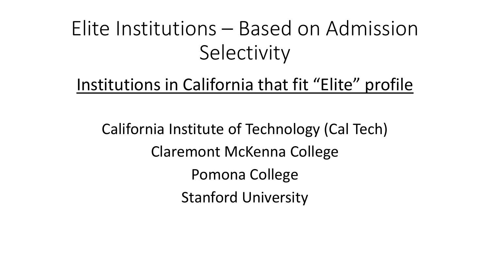#### Institutions in California that fit "Elite" profile

California Institute of Technology (Cal Tech) Claremont McKenna College Pomona College Stanford University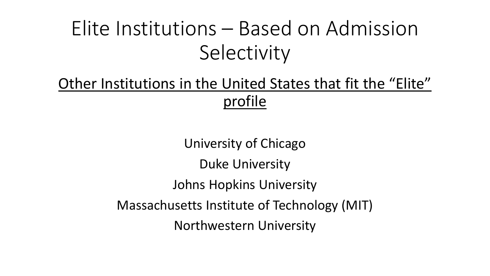#### Other Institutions in the United States that fit the "Elite" profile

University of Chicago Duke University Johns Hopkins University Massachusetts Institute of Technology (MIT) Northwestern University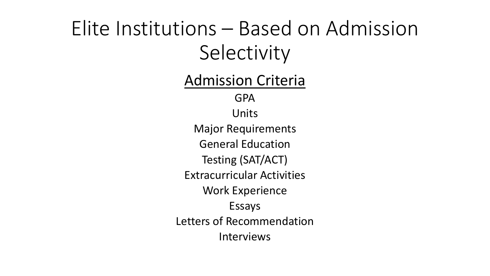Admission Criteria GPA Units Major Requirements General Education Testing (SAT/ACT) Extracurricular Activities Work Experience Essays Letters of Recommendation Interviews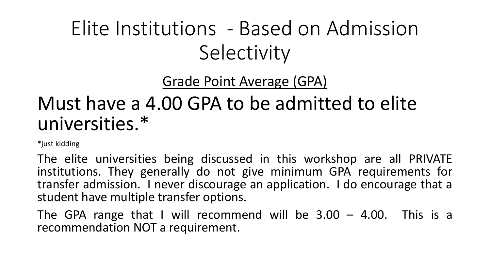Grade Point Average (GPA)

#### Must have a 4.00 GPA to be admitted to elite universities.\*

\*just kidding

The elite universities being discussed in this workshop are all PRIVATE institutions. They generally do not give minimum GPA requirements for transfer admission. I never discourage an application. I do encourage that a student have multiple transfer options.

The GPA range that I will recommend will be  $3.00 - 4.00$ . This is a recommendation NOT a requirement.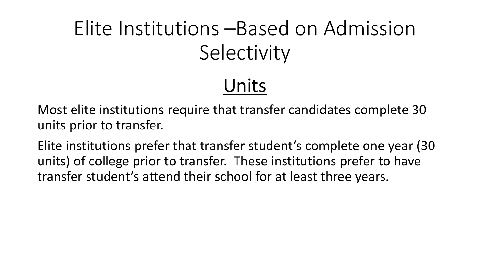#### Units

Most elite institutions require that transfer candidates complete 30 units prior to transfer.

Elite institutions prefer that transfer student's complete one year (30 units) of college prior to transfer. These institutions prefer to have transfer student's attend their school for at least three years.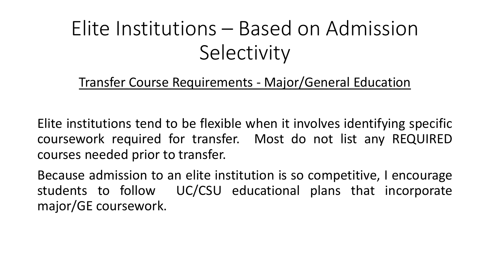Transfer Course Requirements - Major/General Education

Elite institutions tend to be flexible when it involves identifying specific coursework required for transfer. Most do not list any REQUIRED courses needed prior to transfer.

Because admission to an elite institution is so competitive, I encourage students to follow UC/CSU educational plans that incorporate major/GE coursework.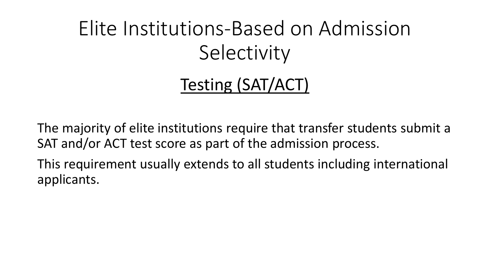#### Testing (SAT/ACT)

The majority of elite institutions require that transfer students submit a SAT and/or ACT test score as part of the admission process.

This requirement usually extends to all students including international applicants.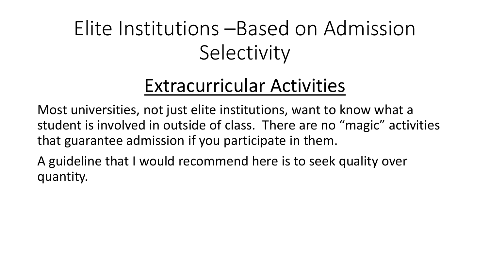#### Extracurricular Activities

Most universities, not just elite institutions, want to know what a student is involved in outside of class. There are no "magic" activities that guarantee admission if you participate in them.

A guideline that I would recommend here is to seek quality over quantity.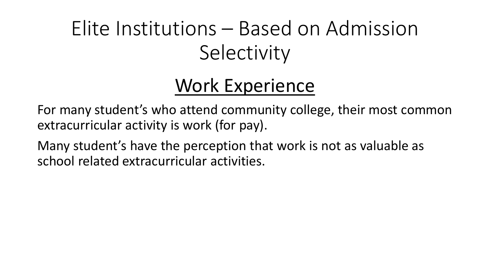#### Work Experience

For many student's who attend community college, their most common extracurricular activity is work (for pay).

Many student's have the perception that work is not as valuable as school related extracurricular activities.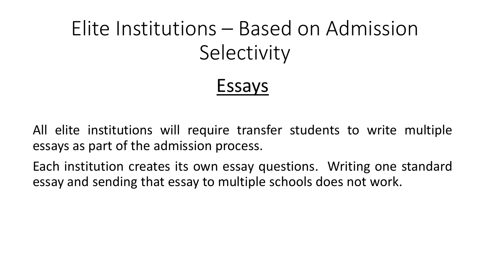#### Essays

All elite institutions will require transfer students to write multiple essays as part of the admission process.

Each institution creates its own essay questions. Writing one standard essay and sending that essay to multiple schools does not work.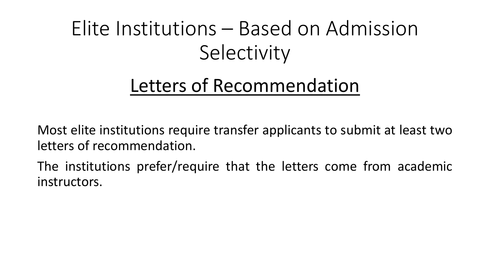#### Letters of Recommendation

Most elite institutions require transfer applicants to submit at least two letters of recommendation.

The institutions prefer/require that the letters come from academic instructors.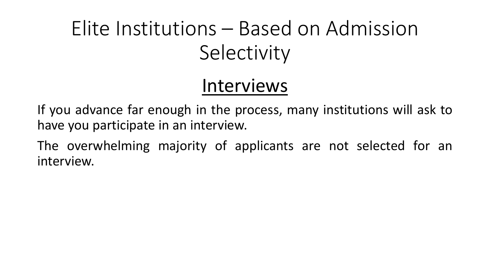#### Interviews

If you advance far enough in the process, many institutions will ask to have you participate in an interview.

The overwhelming majority of applicants are not selected for an interview.